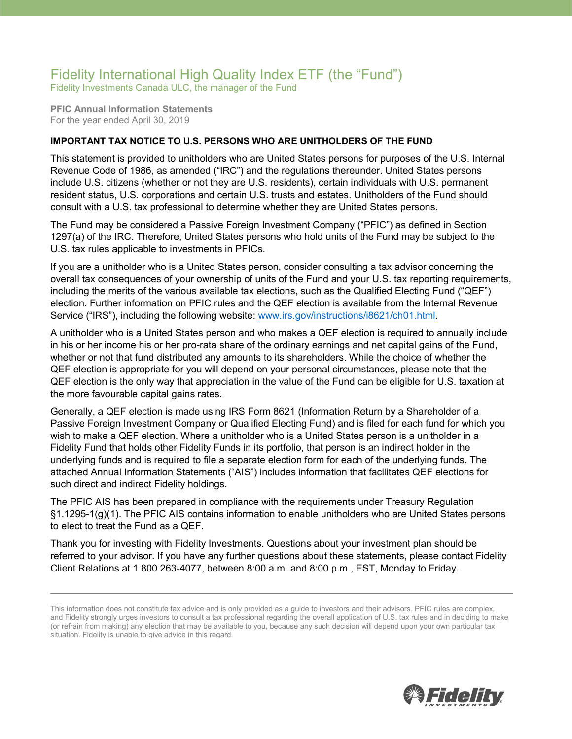## Fidelity International High Quality Index ETF (the "Fund")

Fidelity Investments Canada ULC, the manager of the Fund

**PFIC Annual Information Statements** For the year ended April 30, 2019

## **IMPORTANT TAX NOTICE TO U.S. PERSONS WHO ARE UNITHOLDERS OF THE FUND**

This statement is provided to unitholders who are United States persons for purposes of the U.S. Internal Revenue Code of 1986, as amended ("IRC") and the regulations thereunder. United States persons include U.S. citizens (whether or not they are U.S. residents), certain individuals with U.S. permanent resident status, U.S. corporations and certain U.S. trusts and estates. Unitholders of the Fund should consult with a U.S. tax professional to determine whether they are United States persons.

The Fund may be considered a Passive Foreign Investment Company ("PFIC") as defined in Section 1297(a) of the IRC. Therefore, United States persons who hold units of the Fund may be subject to the U.S. tax rules applicable to investments in PFICs.

If you are a unitholder who is a United States person, consider consulting a tax advisor concerning the overall tax consequences of your ownership of units of the Fund and your U.S. tax reporting requirements, including the merits of the various available tax elections, such as the Qualified Electing Fund ("QEF") election. Further information on PFIC rules and the QEF election is available from the Internal Revenue Service ("IRS"), including the following website: [www.irs.gov/instructions/i8621/ch01.html.](http://www.irs.gov/instructions/i8621/ch01.html)

A unitholder who is a United States person and who makes a QEF election is required to annually include in his or her income his or her pro-rata share of the ordinary earnings and net capital gains of the Fund, whether or not that fund distributed any amounts to its shareholders. While the choice of whether the QEF election is appropriate for you will depend on your personal circumstances, please note that the QEF election is the only way that appreciation in the value of the Fund can be eligible for U.S. taxation at the more favourable capital gains rates.

Generally, a QEF election is made using IRS Form 8621 (Information Return by a Shareholder of a Passive Foreign Investment Company or Qualified Electing Fund) and is filed for each fund for which you wish to make a QEF election. Where a unitholder who is a United States person is a unitholder in a Fidelity Fund that holds other Fidelity Funds in its portfolio, that person is an indirect holder in the underlying funds and is required to file a separate election form for each of the underlying funds. The attached Annual Information Statements ("AIS") includes information that facilitates QEF elections for such direct and indirect Fidelity holdings.

The PFIC AIS has been prepared in compliance with the requirements under Treasury Regulation §1.1295-1(g)(1). The PFIC AIS contains information to enable unitholders who are United States persons to elect to treat the Fund as a QEF.

Thank you for investing with Fidelity Investments. Questions about your investment plan should be referred to your advisor. If you have any further questions about these statements, please contact Fidelity Client Relations at 1 800 263-4077, between 8:00 a.m. and 8:00 p.m., EST, Monday to Friday.



This information does not constitute tax advice and is only provided as a guide to investors and their advisors. PFIC rules are complex, and Fidelity strongly urges investors to consult a tax professional regarding the overall application of U.S. tax rules and in deciding to make (or refrain from making) any election that may be available to you, because any such decision will depend upon your own particular tax situation. Fidelity is unable to give advice in this regard.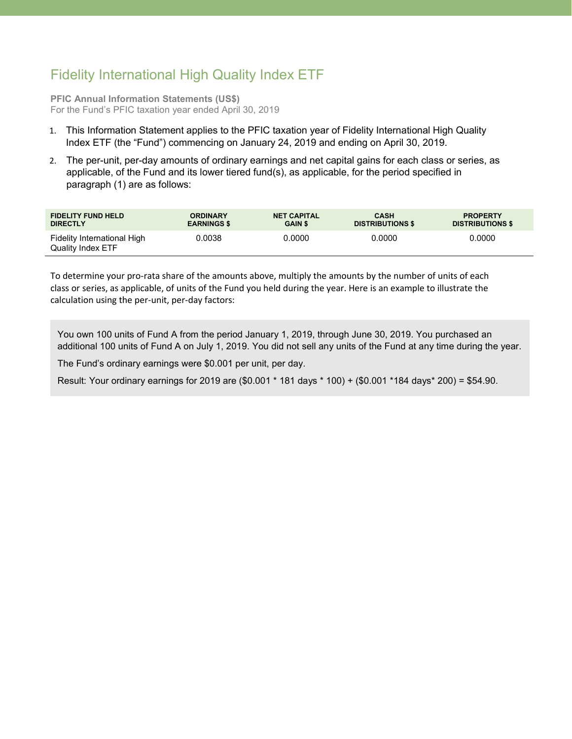## Fidelity International High Quality Index ETF

**PFIC Annual Information Statements (US\$)** For the Fund's PFIC taxation year ended April 30, 2019

- 1. This Information Statement applies to the PFIC taxation year of Fidelity International High Quality Index ETF (the "Fund") commencing on January 24, 2019 and ending on April 30, 2019.
- 2. The per-unit, per-day amounts of ordinary earnings and net capital gains for each class or series, as applicable, of the Fund and its lower tiered fund(s), as applicable, for the period specified in paragraph (1) are as follows:

| <b>FIDELITY FUND HELD</b>                        | <b>ORDINARY</b>    | <b>NET CAPITAL</b> | <b>CASH</b>             | <b>PROPERTY</b>         |
|--------------------------------------------------|--------------------|--------------------|-------------------------|-------------------------|
| <b>DIRECTLY</b>                                  | <b>EARNINGS \$</b> | <b>GAIN \$</b>     | <b>DISTRIBUTIONS \$</b> | <b>DISTRIBUTIONS \$</b> |
| Fidelity International High<br>Quality Index ETF | 0.0038             | 0.0000             | 0.0000                  | 0.0000                  |

To determine your pro-rata share of the amounts above, multiply the amounts by the number of units of each class or series, as applicable, of units of the Fund you held during the year. Here is an example to illustrate the calculation using the per-unit, per-day factors:

You own 100 units of Fund A from the period January 1, 2019, through June 30, 2019. You purchased an additional 100 units of Fund A on July 1, 2019. You did not sell any units of the Fund at any time during the year.

The Fund's ordinary earnings were \$0.001 per unit, per day.

Result: Your ordinary earnings for 2019 are (\$0.001 \* 181 days \* 100) + (\$0.001 \*184 days\* 200) = \$54.90.